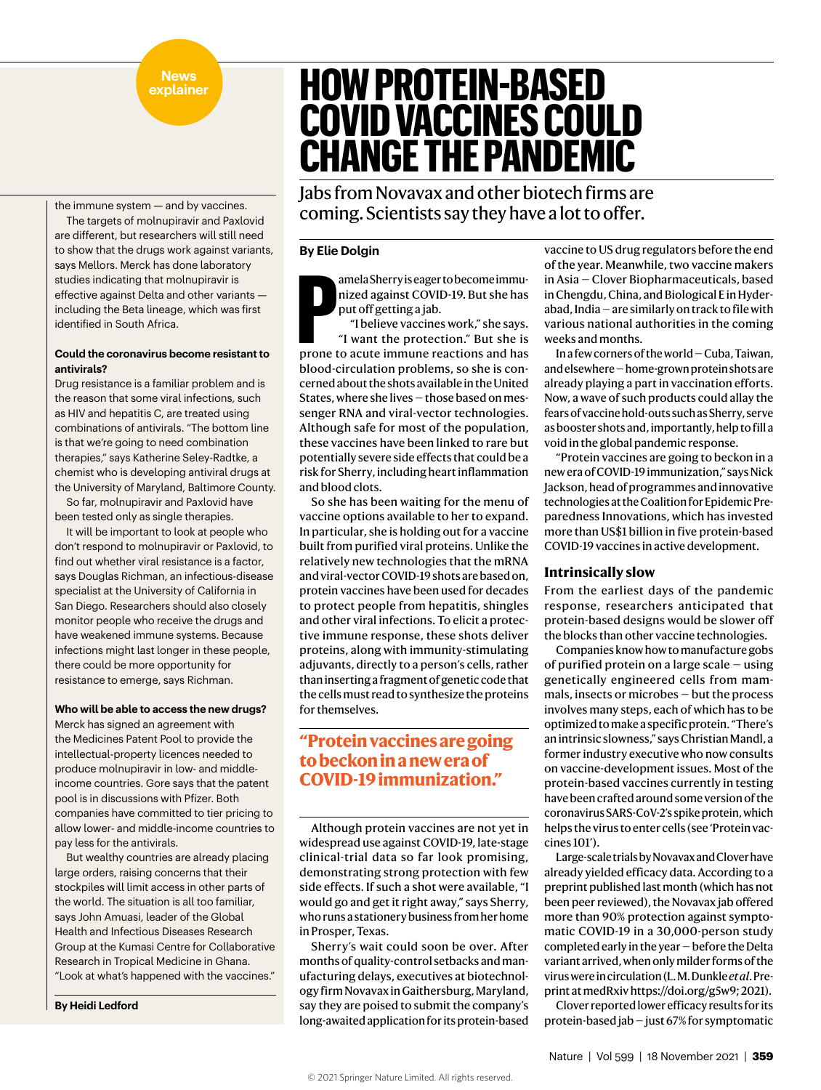#### **News explainer**

the immune system — and by vaccines.

The targets of molnupiravir and Paxlovid are different, but researchers will still need to show that the drugs work against variants, says Mellors. Merck has done laboratory studies indicating that molnupiravir is effective against Delta and other variants including the Beta lineage, which was first identified in South Africa.

## **Could the coronavirus become resistant to antivirals?**

Drug resistance is a familiar problem and is the reason that some viral infections, such as HIV and hepatitis C, are treated using combinations of antivirals. "The bottom line is that we're going to need combination therapies," says Katherine Seley-Radtke, a chemist who is developing antiviral drugs at the University of Maryland, Baltimore County.

So far, molnupiravir and Paxlovid have been tested only as single therapies.

It will be important to look at people who don't respond to molnupiravir or Paxlovid, to find out whether viral resistance is a factor, says Douglas Richman, an infectious-disease specialist at the University of California in San Diego. Researchers should also closely monitor people who receive the drugs and have weakened immune systems. Because infections might last longer in these people, there could be more opportunity for resistance to emerge, says Richman.

## **Who will be able to access the new drugs?**

Merck has signed an agreement with the Medicines Patent Pool to provide the intellectual-property licences needed to produce molnupiravir in low- and middleincome countries. Gore says that the patent pool is in discussions with Pfizer. Both companies have committed to tier pricing to allow lower- and middle-income countries to pay less for the antivirals.

But wealthy countries are already placing large orders, raising concerns that their stockpiles will limit access in other parts of the world. The situation is all too familiar, says John Amuasi, leader of the Global Health and Infectious Diseases Research Group at the Kumasi Centre for Collaborative Research in Tropical Medicine in Ghana. "Look at what's happened with the vaccines."

**By Heidi Ledford**

# **HOW PROTEIN-BASED COVID VACCINES COULD CHANGE THE PANDEMIC**

Jabs from Novavax and other biotech firms are coming. Scientists say they have a lot to offer.

## **By Elie Dolgin**

amela Sherry is eager to become immunized against COVID-19. But she has put off getting a jab.

amela Sherry is eager to become immunized against COVID-19. But she has<br>put off getting a jab.<br>"I believe vaccines work," she says.<br>"I want the protection." But she is<br>prone to acute immune reactions and has "I believe vaccines work," she says. "I want the protection." But she is blood-circulation problems, so she is concerned about the shots available in the United States, where she lives — those based on messenger RNA and viral-vector technologies. Although safe for most of the population, these vaccines have been linked to rare but potentially severe side effects that could be a risk for Sherry, including heart inflammation and blood clots.

So she has been waiting for the menu of vaccine options available to her to expand. In particular, she is holding out for a vaccine built from purified viral proteins. Unlike the relatively new technologies that the mRNA and viral-vector COVID-19 shots are based on, protein vaccines have been used for decades to protect people from hepatitis, shingles and other viral infections. To elicit a protective immune response, these shots deliver proteins, along with immunity-stimulating adjuvants, directly to a person's cells, rather than inserting a fragment of genetic code that the cells must read to synthesize the proteins for themselves.

## **"Protein vaccines are going to beckon in a new era of COVID-19 immunization."**

Although protein vaccines are not yet in widespread use against COVID-19, late-stage clinical-trial data so far look promising, demonstrating strong protection with few side effects. If such a shot were available, "I would go and get it right away," says Sherry, who runs a stationery business from her home in Prosper, Texas.

Sherry's wait could soon be over. After months of quality-control setbacks and manufacturing delays, executives at biotechnology firm Novavax in Gaithersburg, Maryland, say they are poised to submit the company's long-awaited application for its protein-based vaccine to US drug regulators before the end of the year. Meanwhile, two vaccine makers in Asia — Clover Biopharmaceuticals, based in Chengdu, China, and Biological E in Hyderabad, India — are similarly on track to file with various national authorities in the coming weeks and months.

In a few corners of the world — Cuba, Taiwan, and elsewhere — home-grown protein shots are already playing a part in vaccination efforts. Now, a wave of such products could allay the fears of vaccine hold-outs such as Sherry, serve as booster shots and, importantly, help to fill a void in the global pandemic response.

"Protein vaccines are going to beckon in a new era of COVID-19 immunization," says Nick Jackson, head of programmes and innovative technologies at the Coalition for Epidemic Preparedness Innovations, which has invested more than US\$1 billion in five protein-based COVID-19 vaccines in active development.

## **Intrinsically slow**

From the earliest days of the pandemic response, researchers anticipated that protein-based designs would be slower off the blocks than other vaccine technologies.

Companies know how to manufacture gobs of purified protein on a large scale — using genetically engineered cells from mammals, insects or microbes — but the process involves many steps, each of which has to be optimized to make a specific protein. "There's an intrinsic slowness," says Christian Mandl, a former industry executive who now consults on vaccine-development issues. Most of the protein-based vaccines currently in testing have been crafted around some version of the coronavirus SARS-CoV-2's spike protein, which helps the virus to enter cells (see 'Protein vaccines 101').

Large-scale trials by Novavax and Clover have already yielded efficacy data. According to a preprint published last month (which has not been peer reviewed), the Novavax jab offered more than 90% protection against symptomatic COVID-19 in a 30,000-person study completed early in the year — before the Delta variant arrived, when only milder forms of the virus were in circulation (L. M. Dunkle *et al*. Preprint at medRxiv https://doi.org/g5w9; 2021).

Clover reported lower efficacy results for its protein-based jab — just 67% for symptomatic